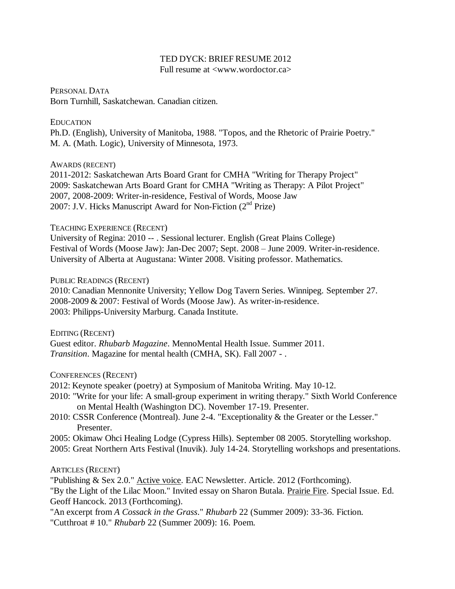# TED DYCK: BRIEF RESUME 2012

Full resume at <www.wordoctor.ca>

PERSONAL DATA Born Turnhill, Saskatchewan. Canadian citizen.

### EDUCATION

Ph.D. (English), University of Manitoba, 1988. "Topos, and the Rhetoric of Prairie Poetry." M. A. (Math. Logic), University of Minnesota, 1973.

AWARDS (RECENT)

2011-2012: Saskatchewan Arts Board Grant for CMHA "Writing for Therapy Project" 2009: Saskatchewan Arts Board Grant for CMHA "Writing as Therapy: A Pilot Project" 2007, 2008-2009: Writer-in-residence, Festival of Words, Moose Jaw 2007: J.V. Hicks Manuscript Award for Non-Fiction  $(2^{nd}$  Prize)

# TEACHING EXPERIENCE (RECENT)

University of Regina: 2010 -- . Sessional lecturer. English (Great Plains College) Festival of Words (Moose Jaw): Jan-Dec 2007; Sept. 2008 – June 2009. Writer-in-residence. University of Alberta at Augustana: Winter 2008. Visiting professor. Mathematics.

### PUBLIC READINGS (RECENT)

2010: Canadian Mennonite University; Yellow Dog Tavern Series. Winnipeg. September 27. 2008-2009 & 2007: Festival of Words (Moose Jaw). As writer-in-residence. 2003: Philipps-University Marburg. Canada Institute.

EDITING (RECENT) Guest editor. *Rhubarb Magazine*. MennoMental Health Issue. Summer 2011. *Transition*. Magazine for mental health (CMHA, SK). Fall 2007 - .

CONFERENCES (RECENT)

2012: Keynote speaker (poetry) at Symposium of Manitoba Writing. May 10-12.

- 2010: "Write for your life: A small-group experiment in writing therapy." Sixth World Conference on Mental Health (Washington DC). November 17-19. Presenter.
- 2010: CSSR Conference (Montreal). June 2-4. "Exceptionality & the Greater or the Lesser." Presenter.
- 2005: Okimaw Ohci Healing Lodge (Cypress Hills). September 08 2005. Storytelling workshop. 2005: Great Northern Arts Festival (Inuvik). July 14-24. Storytelling workshops and presentations.

# ARTICLES (RECENT)

"Publishing & Sex 2.0." Active voice. EAC Newsletter. Article. 2012 (Forthcoming).

"By the Light of the Lilac Moon." Invited essay on Sharon Butala. Prairie Fire. Special Issue. Ed. Geoff Hancock. 2013 (Forthcoming).

"An excerpt from *A Cossack in the Grass*." *Rhubarb* 22 (Summer 2009): 33-36. Fiction.

"Cutthroat # 10." *Rhubarb* 22 (Summer 2009): 16. Poem.